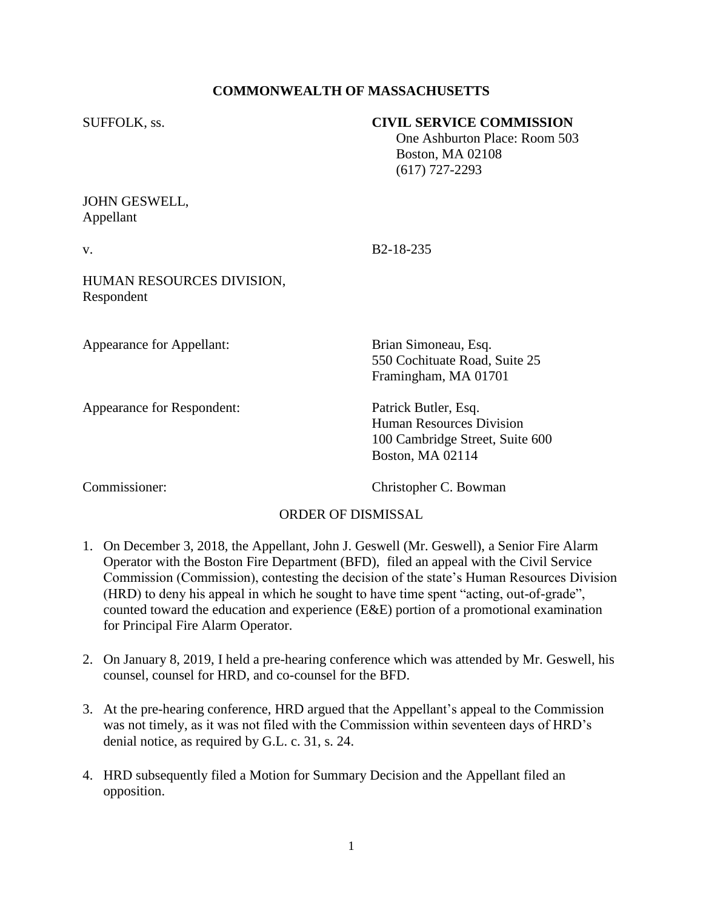# **COMMONWEALTH OF MASSACHUSETTS**

| SUFFOLK, ss.                            | <b>CIVIL SERVICE COMMISSION</b><br>One Ashburton Place: Room 503<br><b>Boston, MA 02108</b><br>$(617)$ 727-2293 |
|-----------------------------------------|-----------------------------------------------------------------------------------------------------------------|
| JOHN GESWELL,<br>Appellant              |                                                                                                                 |
| V.                                      | B <sub>2</sub> -18-235                                                                                          |
| HUMAN RESOURCES DIVISION,<br>Respondent |                                                                                                                 |
| Appearance for Appellant:               | Brian Simoneau, Esq.<br>550 Cochituate Road, Suite 25<br>Framingham, MA 01701                                   |

Appearance for Respondent: Patrick Butler, Esq.

Human Resources Division 100 Cambridge Street, Suite 600 Boston, MA 02114

Commissioner: Christopher C. Bowman

### ORDER OF DISMISSAL

- 1. On December 3, 2018, the Appellant, John J. Geswell (Mr. Geswell), a Senior Fire Alarm Operator with the Boston Fire Department (BFD), filed an appeal with the Civil Service Commission (Commission), contesting the decision of the state's Human Resources Division (HRD) to deny his appeal in which he sought to have time spent "acting, out-of-grade", counted toward the education and experience (E&E) portion of a promotional examination for Principal Fire Alarm Operator.
- 2. On January 8, 2019, I held a pre-hearing conference which was attended by Mr. Geswell, his counsel, counsel for HRD, and co-counsel for the BFD.
- 3. At the pre-hearing conference, HRD argued that the Appellant's appeal to the Commission was not timely, as it was not filed with the Commission within seventeen days of HRD's denial notice, as required by G.L. c. 31, s. 24.
- 4. HRD subsequently filed a Motion for Summary Decision and the Appellant filed an opposition.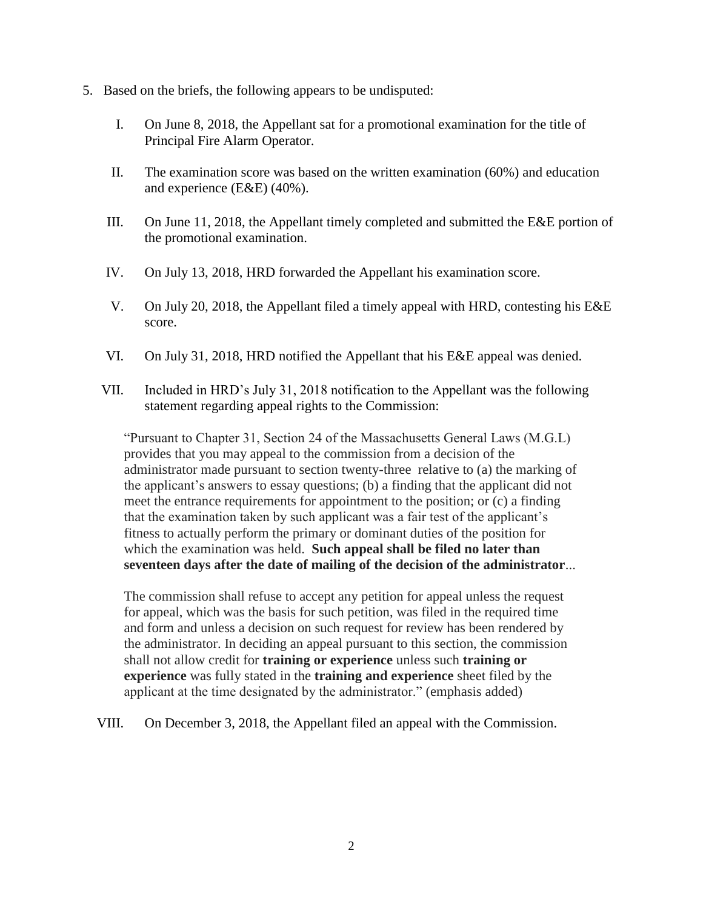- 5. Based on the briefs, the following appears to be undisputed:
	- I. On June 8, 2018, the Appellant sat for a promotional examination for the title of Principal Fire Alarm Operator.
	- II. The examination score was based on the written examination (60%) and education and experience (E&E) (40%).
	- III. On June 11, 2018, the Appellant timely completed and submitted the E&E portion of the promotional examination.
	- IV. On July 13, 2018, HRD forwarded the Appellant his examination score.
	- V. On July 20, 2018, the Appellant filed a timely appeal with HRD, contesting his E&E score.
	- VI. On July 31, 2018, HRD notified the Appellant that his E&E appeal was denied.
	- VII. Included in HRD's July 31, 2018 notification to the Appellant was the following statement regarding appeal rights to the Commission:

"Pursuant to Chapter 31, Section 24 of the Massachusetts General Laws (M.G.L) provides that you may appeal to the commission from a decision of the administrator made pursuant to section twenty-three relative to (a) the marking of the applicant's answers to essay questions; (b) a finding that the applicant did not meet the entrance requirements for appointment to the position; or (c) a finding that the examination taken by such applicant was a fair test of the applicant's fitness to actually perform the primary or dominant duties of the position for which the examination was held. **Such appeal shall be filed no later than seventeen days after the date of mailing of the decision of the administrator**...

The commission shall refuse to accept any petition for appeal unless the request for appeal, which was the basis for such petition, was filed in the required time and form and unless a decision on such request for review has been rendered by the administrator. In deciding an appeal pursuant to this section, the commission shall not allow credit for **training or experience** unless such **training or experience** was fully stated in the **training and experience** sheet filed by the applicant at the time designated by the administrator." (emphasis added)

VIII. On December 3, 2018, the Appellant filed an appeal with the Commission.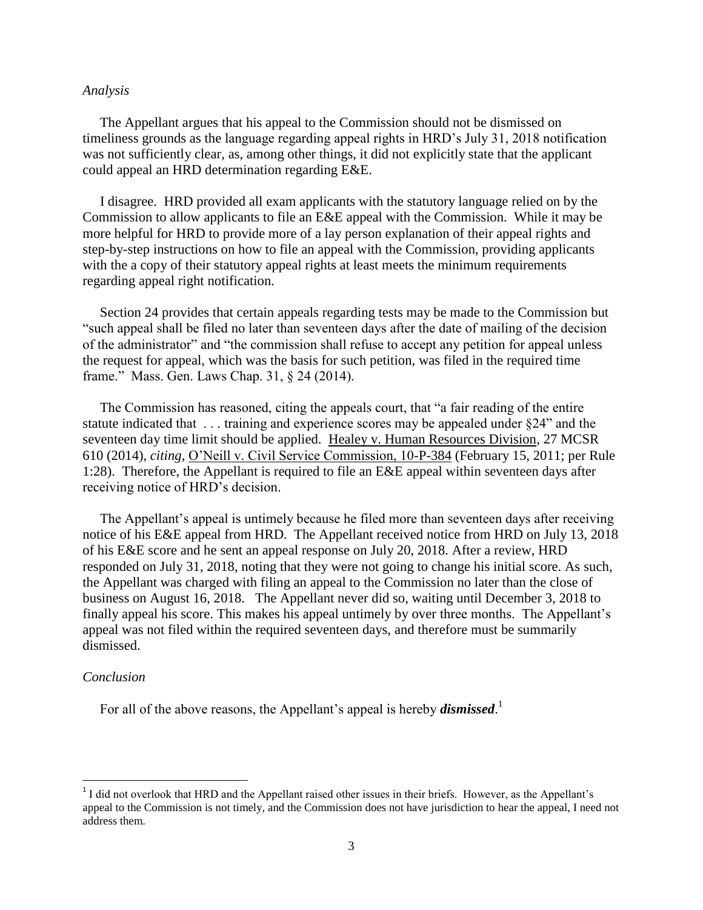#### *Analysis*

 The Appellant argues that his appeal to the Commission should not be dismissed on timeliness grounds as the language regarding appeal rights in HRD's July 31, 2018 notification was not sufficiently clear, as, among other things, it did not explicitly state that the applicant could appeal an HRD determination regarding E&E.

 I disagree. HRD provided all exam applicants with the statutory language relied on by the Commission to allow applicants to file an E&E appeal with the Commission. While it may be more helpful for HRD to provide more of a lay person explanation of their appeal rights and step-by-step instructions on how to file an appeal with the Commission, providing applicants with the a copy of their statutory appeal rights at least meets the minimum requirements regarding appeal right notification.

 Section 24 provides that certain appeals regarding tests may be made to the Commission but "such appeal shall be filed no later than seventeen days after the date of mailing of the decision of the administrator" and "the commission shall refuse to accept any petition for appeal unless the request for appeal, which was the basis for such petition, was filed in the required time frame." Mass. Gen. Laws Chap. 31, § 24 (2014).

 The Commission has reasoned, citing the appeals court, that "a fair reading of the entire statute indicated that . . . training and experience scores may be appealed under §24" and the seventeen day time limit should be applied. Healey v. Human Resources Division, 27 MCSR 610 (2014), *citing*, O'Neill v. Civil Service Commission, 10-P-384 (February 15, 2011; per Rule 1:28). Therefore, the Appellant is required to file an E&E appeal within seventeen days after receiving notice of HRD's decision.

 The Appellant's appeal is untimely because he filed more than seventeen days after receiving notice of his E&E appeal from HRD. The Appellant received notice from HRD on July 13, 2018 of his E&E score and he sent an appeal response on July 20, 2018. After a review, HRD responded on July 31, 2018, noting that they were not going to change his initial score. As such, the Appellant was charged with filing an appeal to the Commission no later than the close of business on August 16, 2018. The Appellant never did so, waiting until December 3, 2018 to finally appeal his score. This makes his appeal untimely by over three months. The Appellant's appeal was not filed within the required seventeen days, and therefore must be summarily dismissed.

#### *Conclusion*

 $\overline{\phantom{a}}$ 

For all of the above reasons, the Appellant's appeal is hereby *dismissed*.<sup>1</sup>

<sup>&</sup>lt;sup>1</sup> I did not overlook that HRD and the Appellant raised other issues in their briefs. However, as the Appellant's appeal to the Commission is not timely, and the Commission does not have jurisdiction to hear the appeal, I need not address them.